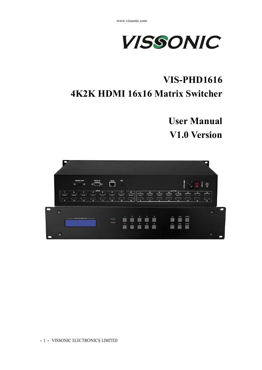

# **VIS-PHD1616 4K2K HDMI 16x16 Matrix Switcher**

**User Manual V1.0 Version**

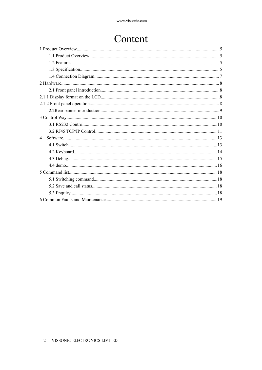# Content

| $\Delta$ |
|----------|
|          |
|          |
|          |
|          |
|          |
|          |
|          |
|          |
|          |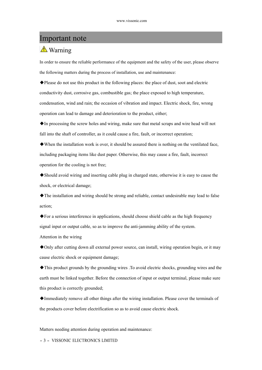## Important note

## **A** Warning

In order to ensure the reliable performance of the equipment and the safety of the user, please observe the following matters during the process of installation, use and maintenance:

◆Please do not use this product in the following places: the place of dust, soot and electric conductivity dust, corrosive gas, combustible gas; the place exposed to high temperature, condensation, wind and rain; the occasion of vibration and impact. Electric shock, fire, wrong operation can lead to damage and deterioration to the product, either;

◆In processing the screw holes and wiring, make sure that metal scraps and wire head will not fall into the shaft of controller, as it could cause a fire, fault, or incorrect operation;

◆When the installation work is over, it should be assured there is nothing on the ventilated face, including packaging items like dust paper. Otherwise, this may cause a fire, fault, incorrect operation for the cooling is not free;

◆Should avoid wiring and inserting cable plug in charged state, otherwise it is easy to cause the shock, or electrical damage;

◆The installation and wiring should be strong and reliable, contact undesirable may lead to false action;

◆For a serious interference in applications, should choose shield cable as the high frequency signal input or output cable, so as to improve the anti-jamming ability of the system.

Attention in the wiring

◆Only after cutting down all external power source, can install, wiring operation begin, or it may cause electric shock or equipment damage;

◆This product grounds by the grounding wires .To avoid electric shocks, grounding wires and the earth must be linked together. Before the connection of input or output terminal, please make sure this product is correctly grounded;

◆Immediately remove all other things after the wiring installation. Please cover the terminals of the products cover before electrification so as to avoid cause electric shock.

Matters needing attention during operation and maintenance:

- <sup>3</sup> - VISSONIC ELECTRONICS LIMITED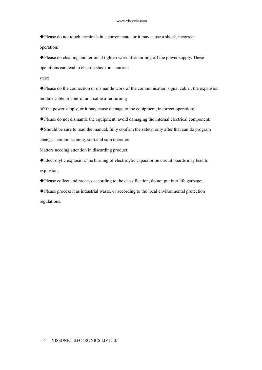$\blacklozenge$  Please do not touch terminals in a current state, or it may cause a shock, incorrect operation;

◆Please do cleaning and terminal tighten work after turning off the power supply. These operations can lead to electric shock in a current

state;

◆Please do the connection or dismantle work of the communication signal cable , the expansion module cable or control unit cable after turning

off the power supply, or it may cause damage to the equipment, incorrect operation;

◆Please do not dismantle the equipment, avoid damaging the internal electrical component;

◆Should be sure to read the manual, fully confirm the safety, only after that can do program changes, commissioning, start and stop operation.

Matters needing attention in discarding product:

◆Electrolytic explosion: the burning of electrolytic capacitor on circuit boards may lead to explosion;

◆Please collect and process according to the classification, do not put into life garbage;

◆Please process it as industrial waste, or according to the local environmental protection regulations.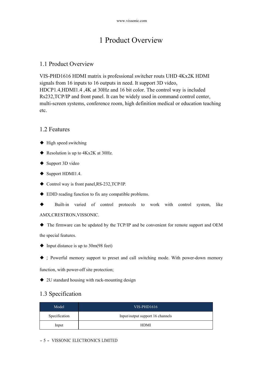# 1 Product Overview

### 1.1 Product Overview

VIS-PHD1616 HDMI matrix is professional switcher routs UHD 4Kx2K HDMI signals from 16 inputs to 16 outputs in need. It support 3D video, HDCP1.4,HDMI1.4 ,4K at 30Hz and 16 bit color. The control way is included Rs232,TCP/IP and front panel. It can be widely used in command control center, multi-screen systems, conference room, high definition medical or education teaching etc.

### 1.2 Features

- ◆ High speed switching
- ◆ Resolution is up to 4Kx2K at 30Hz.
- ◆ Support 3D video
- ◆ Support HDMI1.4.
- ◆ Control way is front panel, RS-232, TCP/IP.
- ◆ EDID reading function to fix any compatible problems.
- Built-in varied of control protocols to work with control system, like AMX,CRESTRON,VISSONIC.

◆ The firmware can be updated by the TCP/IP and be convenient for remote support and OEM the special features.

- $\blacklozenge$  Input distance is up to 30m(98 feet)
- ◆ ; Powerful memory support to preset and call switching mode. With power-down memory

function, with power-off site protection;

◆ 2U standard housing with rack-mounting design

## 1.3 Specification

| Model         | $VIS-PHD1616$                    |
|---------------|----------------------------------|
| Specification | Input/output support 16 channels |
| Input         | HDMI                             |

### - <sup>5</sup> - VISSONIC ELECTRONICS LIMITED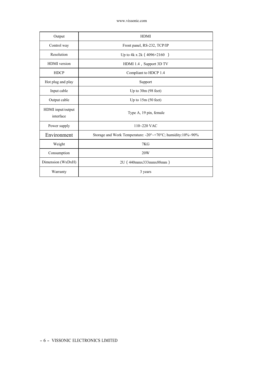| Output                         | <b>HDMI</b>                                                |
|--------------------------------|------------------------------------------------------------|
| Control way                    | Front panel, RS-232, TCP/IP                                |
| Resolution                     | Up to 4k x 2k (4096×2160)                                  |
| <b>HDMI</b> version            | HDMI 1.4, Support 3D TV                                    |
| <b>HDCP</b>                    | Compliant to HDCP 1.4                                      |
| Hot plug and play              | Support                                                    |
| Input cable                    | Up to $30m(98$ feet)                                       |
| Output cable                   | Up to $15m(50 \text{ feet})$                               |
| HDMI input/output<br>interface | Type A, 19 pin, female                                     |
| Power supply                   | 110~220 VAC                                                |
| Environment                    | Storage and Work Temperature: -20°~+70°C; humidity:10%~90% |
| Weight                         | 7KG                                                        |
| Consumption                    | 20W                                                        |
| Dimension (WxDxH)              | 2U (440mmx333mmx88mm)                                      |
| Warranty                       | 3 years                                                    |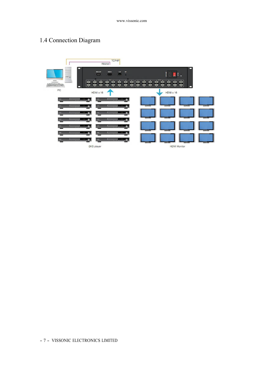## 1.4 Connection Diagram

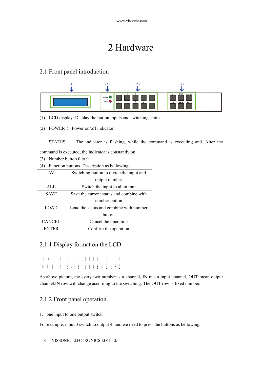# 2 Hardware

## 2.1 Front panel introduction



- (1) LCD display: Display the button inputs and switching status.
- (2) POWER: Power on/off indicator

STATUS : The indicator is flashing, while the command is executing and. After the

command is executed, the indicator is constantly on.

- (3) Number button 0 to 9
- (4) Function buttons. Description as bellowing,

| AV            | Switching button to divide the input and |
|---------------|------------------------------------------|
|               | output number                            |
| ALL           | Switch the input to all output           |
| <b>SAVE</b>   | Save the current status and combine with |
|               | number button                            |
| <b>LOAD</b>   | Load the status and combine with number  |
|               | button                                   |
| <b>CANCEL</b> | Cancel the operation                     |
| <b>ENTER</b>  | Confirm the operation                    |

## 2.1.1 Display format on the LCD

I N O U T 1 2 3 4 5 6 7 8 9 A B C D E F G 1 1 1 1 1 1 1 1 1 1 1 1 1 1 1 1

As above picture, the every two number is a channel, IN mean input channel, OUT mean output channel.IN row will change according to the switching. The OUT row is fixed number.

## 2.1.2 Front panel operation.

1、one input to one output switch

For example, input 3 switch to output 4, and we need to press the buttons as bellowing,

#### - <sup>8</sup> - VISSONIC ELECTRONICS LIMITED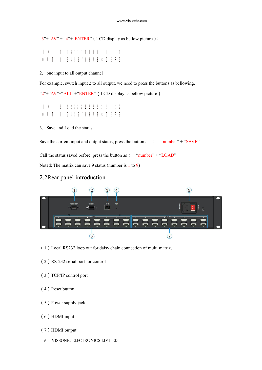" $3$ "+" $AV$ " + " $4$ "+"ENTER" (LCD display as bellow picture);

#### I N O U T 1 2 3 4 5 6 7 8 9 A B C D E F G 1 1 1 3 1 1 1 1 1 1 1 1 1 1 1 1

2、one input to all output channel

For example, switch input 2 to all output, we need to press the buttons as bellowing,

"2"+"AV"+"ALL"+"ENTER" (LCD display as bellow picture)

I N O U T 1 2 3 4 5 6 7 8 9 A B C D E F G 2 2 2 2 2 2 2 2 2 2 2 2 2 2 2 2

#### 3、Save and Load the status

Save the current input and output status, press the button as : "number" + "SAVE"

Call the status saved before, press the button as: "number" + "LOAD"

Noted: The matrix can save 9 status (number is 1 to 9)

### 2.2Rear panel introduction



- (1)Local RS232 loop out for daisy chain connection of multi matrix.
- (2) RS-232 serial port for control
- (3)TCP/IP control port
- (4) Reset button
- (5)Power supply jack
- (6)HDMI input
- (7)HDMI output
- <sup>9</sup> VISSONIC ELECTRONICS LIMITED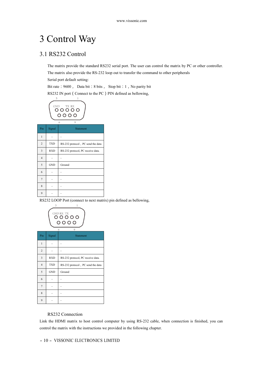# 3 Control Way

## 3.1 RS232 Control

The matrix provide the standard RS232 serial port. The user can control the matrix by PC or other controller.<br>The matrix also provide the RS-232 loop out to transfer the command to other peripherals

Serial port default setting:

Bit rate: 9600, Data bit: 8 bits, Stop bit: 1, No parity bit

RS232 IN port (Connect to the PC) PIN defined as bellowing,

$$
\begin{pmatrix}\n\stackrel{\circ}{\circ} & \stackrel{\circ}{\circ} & \stackrel{\circ}{\circ} \\
\circ & \circ & \circ & \circ \\
\circ & \circ & \circ & \circ \\
\circ & \circ & \circ & \circ\n\end{pmatrix}
$$

| Pin            | Signal     | <b>Statement</b>                  |
|----------------|------------|-----------------------------------|
| 1              |            |                                   |
| $\overline{c}$ | <b>TXD</b> | RS-232 protocol, PC send the data |
| 3              | <b>RXD</b> | RS-232 protocol, PC receive data. |
| $\overline{4}$ |            |                                   |
| 5              | <b>GND</b> | Ground                            |
| 6              |            |                                   |
| 7              |            |                                   |
| 8              |            |                                   |
| 9              |            |                                   |

RS232 LOOP Port (connect to next matrix) pin defined as bellowing,



#### RS232 Connection

 $9$  - - -

Link the HDMI matrix to host control computer by using RS-232 cable, when connection is finished, you can control the matrix with the instructions we provided in the following chapter.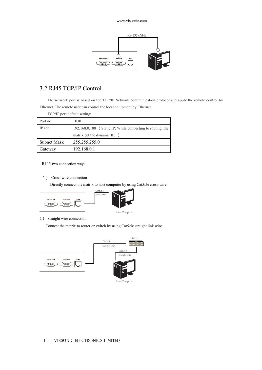

## 3.2 RJ45 TCP/IP Control

The network port is based on the TCP/IP Network communication protocol and apply the remote control by Ethernet. The remote user can control the local equipment by Ethernet.

| TCP/IP port default setting: |                                                            |  |  |  |  |  |  |
|------------------------------|------------------------------------------------------------|--|--|--|--|--|--|
| Port no.                     | 1030                                                       |  |  |  |  |  |  |
| IP add.                      | 192.168.0.188 (Static IP; While connecting to routing, the |  |  |  |  |  |  |
|                              | matrix get the dynamic IP. )                               |  |  |  |  |  |  |
| Subnet Mask                  | 255.255.255.0                                              |  |  |  |  |  |  |
| Gateway                      | 192.168.0.1                                                |  |  |  |  |  |  |

#### RJ45 two connection ways

1) Cross-wire connection

Directly connect the matrix to host computer by using Cat5/5e cross-wire.





2) Straight wire connection

Connect the matrix to router or switch by using Cat5/5e straight link wire.

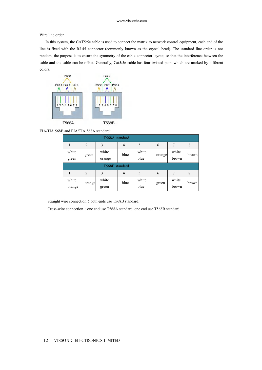Wire line order

In this system, the CAT5/5e cable is used to connect the matrix to network control equipment, each end of the line is fixed with the RJ-45 connector (commonly known as the crystal head). The standard line order is not random, the purpose is to ensure the symmetry of the cable connector layout, so that the interference between the cable and the cable can be offset. Generally, Cat5/5e cable has four twisted pairs which are marked by different colors.



EIA/TIA 568B and EIA/TIA 568A standard:

|                |                | T568A standard  |                |               |        |                |       |
|----------------|----------------|-----------------|----------------|---------------|--------|----------------|-------|
|                | $\overline{2}$ | 3               | $\overline{4}$ | 5             | 6      | 7              | 8     |
| white<br>green | green          | white<br>orange | blue           | white<br>blue | orange | white<br>brown | brown |
|                |                | T568B standard  |                |               |        |                |       |
|                | $\overline{2}$ |                 |                |               |        |                |       |
|                |                | 3               | $\overline{4}$ | 5             | 6      | 7              | 8     |

Straight wire connection: both ends use T568B standard.

Cross-wire connection: one end use T568A standard, one end use T568B standard.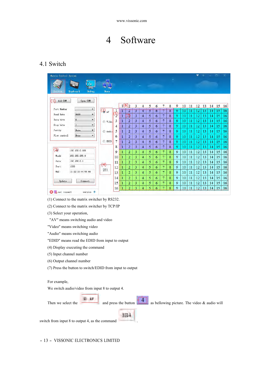

## 4.1 Switch

| Matrix Control System                                     |                                |                               |           |                     |                |                |   |   |   |                |   |    |    | ÷  |    |    | ▭  | ×  |
|-----------------------------------------------------------|--------------------------------|-------------------------------|-----------|---------------------|----------------|----------------|---|---|---|----------------|---|----|----|----|----|----|----|----|
| Keyboard<br><b>Debug</b>                                  | Demo                           |                               |           |                     |                |                |   |   |   |                |   |    |    |    |    |    |    |    |
| Add COM<br>Open COM                                       |                                |                               |           | $1(6)$ <sub>2</sub> | 3              | 4              | 5 | 6 | 7 | 8              | 9 | 10 | 11 | 12 | 13 | 14 | 15 | 16 |
| Port Number<br>۳                                          | $\left(3\right)$ <sub>AV</sub> |                               |           |                     | $\overline{3}$ | $\overline{4}$ | 5 | 6 |   | $\overline{8}$ | ÿ | 10 | п  | 12 | Ī3 | 14 | 15 | 16 |
| 9600<br>Baud Rate<br>$\overline{\phantom{a}}$             |                                | $\overline{\left( 5\right) }$ | 1         | 7)                  | $\overline{3}$ | $\overline{4}$ | 5 | 6 | 7 | 8              | 9 | 10 | 11 | 12 | 13 | 14 | 15 | 16 |
| 8<br>Data bits<br>$\blacktriangledown$                    | Video                          | 3                             | Ħ         | $\overline{2}$      | 3              | $\overline{4}$ | 5 | 6 | 7 | 8              | 9 | 10 | 11 | 12 | 13 | 14 | 15 | 16 |
| Stop bits<br>$\mathbf{1}$<br>$\overline{\phantom{a}}$     |                                | 4                             | $\vert$ 1 | $\overline{2}$      | 3              | 4              | 5 | 6 | 7 | 8              | 9 | 10 | 11 | 12 | 13 | 14 | 15 | 16 |
| None<br>Parity<br>$\overline{\phantom{a}}$                | Audio                          | 5                             |           | $\overline{2}$      | 3              | $\overline{4}$ | 5 | 6 | 7 | 8              | 9 | 10 | 11 | 12 | 13 | 14 | 15 | 16 |
| None.<br>$\overline{\phantom{a}}$<br>Flow control         |                                | 6                             | 11        | 2                   | 3              | $\overline{4}$ | 5 | 6 | 7 | 8              | 9 | 10 | 11 | 12 | 13 | 14 | 15 | 16 |
|                                                           | Ó<br>EDID                      | 7                             | П         | $\overline{2}$      | $\overline{3}$ | $\overline{4}$ | 5 | 6 | 7 | 8              | 9 | 10 | 11 | 12 | 13 | 14 | 15 | 16 |
|                                                           |                                | 8                             | 11        | $\overline{2}$      | 3              | $\overline{4}$ | 5 | 6 | 7 | 8              | 9 | 10 | 11 | 12 | 13 | 14 | 15 | 16 |
| (2)<br>192.168.0.188                                      |                                | 9                             |           | 2                   | 3              | 4              | 5 | 6 | 7 | 8              | 9 | 10 | 11 | 12 | 13 | 14 | 15 | 16 |
| 255, 255, 255, 0<br>Mask:                                 |                                | 10                            |           | 2                   | 3              | $\overline{4}$ | 5 | 6 | 7 | 8              | 9 | 10 | 11 | 12 | 13 | 14 | 15 | 16 |
| 192.168.0.1<br>Gate:                                      |                                | 11                            |           | 2                   | 3              | $\overline{4}$ | 5 | 6 | 7 | 8              | 9 | 10 | 11 | 12 | 13 | 14 | 15 | 16 |
| Port:<br>1030                                             | $^{(4)}$                       | 12                            |           | $\overline{2}$      | 3              | 4              | 5 | 6 | 7 | 8              | 9 | 10 | 11 | 12 | 13 | 14 | 15 | 16 |
| MAC:<br>11:22:33:44:55:66                                 | 2E1.                           | 13                            |           | 2                   | 3              | $\overline{4}$ | 5 | 6 | 7 | 8              | 9 | 10 | 11 | 12 | 13 | 14 | 15 | 16 |
|                                                           |                                | 14                            |           | 2                   | 3              | 4              | 5 | 6 | 7 | 8              | 9 | 10 | 11 | 12 | 13 | 14 | 15 | 16 |
| Update<br>Connect.                                        |                                | 15                            |           | $\overline{2}$      | 3              | $\overline{4}$ | 5 | 6 | 7 | 8              | 9 | 10 | 11 | 12 | 13 | 14 | 15 | 16 |
|                                                           |                                | 16                            |           | 2                   | 3              | 4              | 5 | 6 | π | 8              | 9 | 10 | 11 | 12 | 13 | 14 | 15 | 16 |
| <b>C</b> <sub>c</sub> not connect<br>version <sup>1</sup> |                                |                               |           |                     |                |                |   |   |   |                |   |    |    |    |    |    |    |    |

(1) Connect to the matrix switcher by RS232.

(2) Connect to the matrix switcher by TCP/IP

(3) Select your operation,

"AV" means switching audio and video

- "Video" means switching video
- "Audio" means switching audio
- "EDID" means read the EDID from input to output
- (4) Display executing the command
- (5) Input channel number
- (6) Output channel number
- (7) Press the button to switch/EDID from input to output

#### For example,

We switch audio/video from input 8 to output 4.<br>Then we select the and press the button as bellowing picture. The video & audio will



8B4.

switch from input  $8$  to output  $4$ , as the command

- <sup>13</sup> - VISSONIC ELECTRONICS LIMITED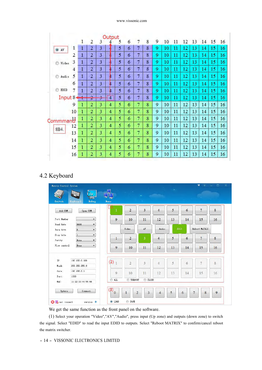#### www.vissonic.com

|              |                |                     |                |                | Output         |   |   |   |   |   |    |    |    |    |    |    |    |
|--------------|----------------|---------------------|----------------|----------------|----------------|---|---|---|---|---|----|----|----|----|----|----|----|
|              |                | 1                   | 2              | 3              |                | 5 | 6 | 7 | 8 | 9 | 10 | 11 | 12 | 13 | 14 | 15 | 16 |
| $\bullet$ AV | 1              | 1                   | $\overline{2}$ | 3              |                | 5 | 6 | 7 | 8 | 9 | 10 | 11 | 12 | 13 | 14 | 15 | 16 |
|              | $\overline{2}$ | 1                   | $\overline{2}$ | 3              |                | 5 | 6 | 7 | 8 | 9 | 10 | 11 | 12 | 13 | 14 | 15 | 16 |
| Ô<br>Video   | 3              | 1                   | $\overline{2}$ | $\overline{3}$ |                | 5 | 6 | 7 | 8 | 9 | 10 | 11 | 12 | 13 | 14 | 15 | 16 |
|              | 4              | 1                   | $\overline{2}$ | 3              |                | 5 | 6 | 7 | 8 | 9 | 10 | п  | 12 | 13 | 14 | 15 | 16 |
| Ô<br>Audio   | 5              | Ī                   | $\overline{2}$ | 3              |                | 5 | 6 | 7 | 8 | 9 | 10 | Ħ  | 12 | 13 | 14 | 15 | 16 |
|              | 6              | 1                   | $\overline{2}$ | 3              | 4              | 5 | 6 | 7 | 8 | 9 | 10 | 11 | 12 | 13 | 14 | 15 | 16 |
| ô<br>EDID    | 7              | 1                   | 2              | 3              | ₩              | 5 | 6 | 7 | 8 | 9 | 10 | 11 | 12 | 13 | 14 | 15 | 16 |
| Input 8      |                | $\overline{1}$<br>z | 2              | 3              | $\overline{4}$ | 5 | 6 | 7 | 8 | 9 | 10 | 11 | 12 | 13 | 14 | 15 | 16 |
|              | 9              | 1                   | 2              | 3              | 4              | 5 | 6 | 7 | 8 | 9 | 10 | 11 | 12 | 13 | 14 | 15 | 16 |
|              | 10             | 1                   | 2              | 3              | 4              | 5 | 6 | 7 | 8 | 9 | 10 | 11 | 12 | 13 | 14 | 15 | 16 |
| Commmand     |                | 1                   | 2              | 3              | 4              | 5 | 6 | 7 | 8 | 9 | 10 | 11 | 12 | 13 | 14 | 15 | 16 |
|              | 12             | 1                   | $\overline{2}$ | 3              | 4              | 5 | 6 | 7 | 8 | 9 | 10 | 11 | 12 | 13 | 14 | 15 | 16 |
| 8B4.         | 13             | 1                   | 2              | 3              | $\overline{4}$ | 5 | 6 | 7 | 8 | 9 | 10 | 11 | 12 | 13 | 14 | 15 | 16 |
|              | 14             | 1                   | $\overline{2}$ | 3              | 4              | 5 | 6 | 7 | 8 | 9 | 10 | 11 | 12 | 13 | 14 | 15 | 16 |
|              | 15             | 1                   | $\overline{2}$ | 3              | 4              | 5 | 6 | 7 | 8 | 9 | 10 | 11 | 12 | 13 | 14 | 15 | 16 |
|              | 16             | 1                   | $\overline{2}$ | 3              | 4              | 5 | 6 | 7 | 8 | 9 | 10 | 11 | 12 | 13 | 14 | 15 | 16 |

## 4.2 Keyboard

| Matrix Control System<br>Switch | ۰<br><b>ABBS</b><br>Debug<br>Keyboard                                 | Demo                   | $\sim 100$     |                         |                |      |    | $\bullet$           | σ  |
|---------------------------------|-----------------------------------------------------------------------|------------------------|----------------|-------------------------|----------------|------|----|---------------------|----|
| Add COM                         | Open COM                                                              |                        | $\overline{2}$ | $\overline{\mathbf{3}}$ | $\overline{4}$ | 5    | 6  | $\overline{7}$      | 8  |
| Port Number                     | $\overline{\phantom{a}}$                                              | 9                      | 10             | 11                      | 12             | 13   | 14 | 15                  | 16 |
| Baud Rate<br>Data bits          | 9600<br>$\overline{\phantom{a}}$<br>8<br>$\overline{\phantom{a}}$     |                        | Video          | AV                      | Audio          | EDID |    | Reboot MATRIX       |    |
| Stop bits<br>Parity             | $\overline{\phantom{a}}$<br>$\vert$ 1<br>None<br>$\blacktriangledown$ | $\mathbf{1}$           | $\overline{2}$ | 3                       | $\overline{4}$ | 5    | 6  | $\overline{7}$      | 8  |
| Flow control                    | $\overline{\phantom{a}}$<br>None                                      | 9                      | 10             | 11                      | 12             | 13   | 14 | 15                  | 16 |
| IP:                             | 192.168.0.188                                                         | $(2)_{1}$              | $\overline{2}$ | 3                       | 4              | 5    | 6  | $\overline{7}$      | 8  |
| Mask:<br>Gate:<br>Port:         | 255.255.255.0<br>192.168.0.1<br>1030                                  | 9                      | 10             | 11                      | 12             | 13   | 14 | 15                  | 16 |
| MAC:                            | 11:22:33:44:55:66                                                     | ALL.<br>$\circledcirc$ | THROGHT        | CLOSE                   |                |      |    |                     |    |
| Update                          | Connect.                                                              | (3)<br>$\bf{0}$        | $\mathbf{1}$   | 3<br>$\overline{2}$     | $\overline{4}$ | 5    | 6  | $\overline{7}$<br>8 | 9  |

We get the same function as the front panel on the software.

(1) Select your operation "Video","AV","Audio", press input (Up zone) and outputs (down zone) to switch the signal. Select "EDID" to read the input EDID to outputs. Select "Reboot MATRIX" to confirm/cancel reboot the matrix switcher.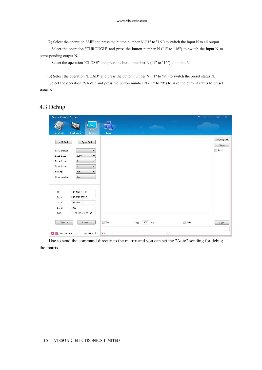(2) Select the operation "All" and press the button number N ("1" to "16") to switch the input N to all output.

Select the operation "THROUGH" and press the button number N ("1" to "16") to switch the input N to corresponding output N.

Select the operation "CLOSE" and press the button number N ("1" to "16") to output N.

(3) Select the operation "LOAD" and press the button number N ("1" to "9") to switch the preset status N.

Select the operation "SAVE" and press the button number N ("1" to "9") to save the current status to preset status N.

## 4.3 Debug

| Matrix Control System    |                                                                    |            |                   | 甘<br>$\equiv$ | $\Box$<br>$\times$<br>- |
|--------------------------|--------------------------------------------------------------------|------------|-------------------|---------------|-------------------------|
| Switch                   | 10<br>$\sqrt{15}$<br><b>Keyboard</b><br>Debug                      | Demo       |                   |               |                         |
| Add COM                  | Open COM                                                           |            |                   |               | Display ON<br>Clear     |
| Port Number<br>Baud Rate | $\overline{\phantom{a}}$<br>9600<br>$\blacktriangledown$           |            |                   |               | Hex                     |
| Data bits<br>Stop bits   | 8<br>$\overline{\phantom{a}}$<br>$1\,$<br>$\overline{\phantom{a}}$ |            |                   |               |                         |
| Parity<br>Flow control   | None<br>$\blacktriangledown$<br>None<br>$\blacktriangledown$       |            |                   |               |                         |
|                          |                                                                    |            |                   |               |                         |
| $\mathbf{IP}$ :          | 192.168.0.188                                                      |            |                   |               |                         |
| Mask:                    | 255.255.255.0                                                      |            |                   |               |                         |
| Gate:                    | 192.168.0.1                                                        |            |                   |               |                         |
| Port:                    | 1030                                                               |            |                   |               |                         |
| MAC:                     | 11:22:33:44:55:66                                                  |            |                   |               |                         |
| Update                   | Connect                                                            | $\Box$ Hex | timer: 1000<br>ms | Auto          | Sent                    |
| <b>O</b> so not connect  | version <sup>*</sup>                                               | R:0        |                   | S:0           |                         |

Use to send the command directly to the matrix and you can set the "Auto" sending for debug the matrix.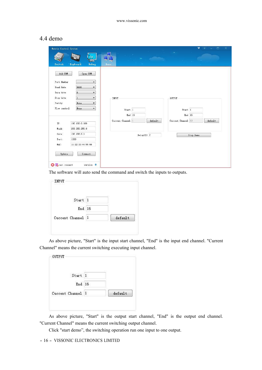## 4.4 demo

| Matrix Control System                            |                              | v<br>$\times$<br>$\Box$       |
|--------------------------------------------------|------------------------------|-------------------------------|
| ΙQ<br><b>ASSA</b><br>Keyboard<br>Switch<br>Debug | Demo                         |                               |
| Add COM<br>Open COM                              |                              |                               |
| Port Number<br>▼<br>9600<br>Baud Rate            |                              |                               |
| ▼<br>8<br>Data bits<br>$\overline{\phantom{a}}$  |                              |                               |
| $\overline{\phantom{0}}$<br>Stop bits<br>$\,1$   | INPUT                        | OUTPUT                        |
| Parity<br>None<br>$\blacktriangledown$           |                              |                               |
| None<br>Flow control<br>$\blacktriangledown$     | Start 1                      | Start 1                       |
|                                                  | End 16                       | End 16                        |
|                                                  | Cuccent Channel 1<br>default | Cuccent Channel 13<br>default |
| IP:<br>192.168.0.188<br>255.255.255.0<br>Mask:   |                              |                               |
| Gate:<br>192.168.0.1                             |                              |                               |
| Port:<br>1030                                    | $Delay(S)$ 2                 | Stop Demo                     |
| MAC:<br>11:22:33:44:55:66                        |                              |                               |
|                                                  |                              |                               |
| Update<br>Connect                                |                              |                               |
|                                                  |                              |                               |
| <b>C</b> ranot connect<br>version <sup>*</sup>   |                              |                               |

The software will auto send the command and switch the inputs to outputs.

| Start 1           |         |
|-------------------|---------|
| End 16            |         |
| Cuccent Channel 1 | default |

As above picture, "Start" is the input start channel, "End" is the input end channel. "Current Channel" means the current switching executing input channel.

| Start 1           |         |
|-------------------|---------|
| End 16            |         |
| Cuccent Channel 1 | default |

As above picture, "Start" is the output start channel, "End" is the output end channel. "Current Channel" means the current switching output channel.

Click "start demo", the switching operation run one input to one output.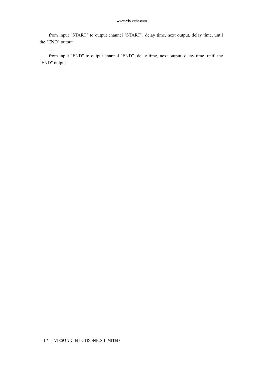from input "START" to output channel "START", delay time, next output, delay time, until the "END" output

.…

from input "END" to output channel "END", delay time, next output, delay time, until the "END" output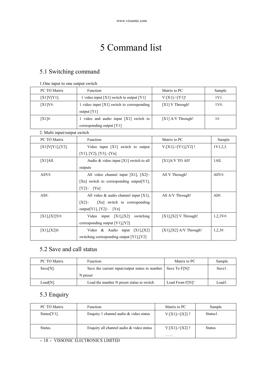# 5 Command list

## 5.1 Switching command

### 1.One input to one output switch

| PC TO Matrix    | <b>Function</b>                                               | Matrix to PC        | Sample |
|-----------------|---------------------------------------------------------------|---------------------|--------|
| $[X1]V[Y1]$ .   | 1 video input $[X1]$ switch to output $[Y1]$                  | V:[X1] > [Y1]!      | 1V1.   |
| $[X1]V_{\pm}$ . | 1 video input $[X1]$ switch to corresponding<br>output $[Y1]$ | $[X1]$ V Through!   | 1V#.   |
| $[X1]$ #.       | 1 video and audio input $[X1]$ switch to                      | $[X1]$ A/V Through! | 1#.    |
|                 | corresponding output $[Y1]$                                   |                     |        |

#### 2. Multi input/output switch

| PC TO Matrix           | Function                                  | Matrix to PC              | Sample      |
|------------------------|-------------------------------------------|---------------------------|-------------|
| $[X1]V[Y1]$ , $[Y2]$ . | Video input $[X1]$ switch to output       | $V:[X1] > [Y1],[Y2]$ !    | 1V1,2,3.    |
|                        | $[Y1], [Y2], [Y3], \sim [Yn].$            |                           |             |
| $[X1]$ All.            | Audio & video input $[X1]$ switch to all  | $[X1]$ A/V TO All!        | 1 All.      |
|                        | outputs                                   |                           |             |
| AllV#.                 | All video channel input [X1], [X2] $\sim$ | All V Through!            | AllV#.      |
|                        | [Xn] switch to corresponding output[Y1],  |                           |             |
|                        | [Y2]~ [Yn]                                |                           |             |
| $All#$ .               | All video $\&$ audio channel input [X1],  | All A/V Through!          | $All#$ .    |
|                        | [Xn] switch to corresponding<br>[X2]~     |                           |             |
|                        | output[Y1], $[Y2]~ [Yn]$                  |                           |             |
| $[X1], [X2]V_{\#}$ .   | Video input $[X1], [X2]$<br>switching     | $[X1], [X2]$ V Through!   | $1,2,3V#$ . |
|                        | corresponding output [Y1],[Y2]            |                           |             |
| $[X1],[X2]\#$ .        | Video & Audio input $[X1],[X2]$           | $[X1], [X2]$ A/V Through! | $1,2,3#$ .  |
|                        | switching corresponding output [Y1], [Y2] |                           |             |
|                        |                                           |                           |             |

## 5.2 Save and call status

| PC TO Matrix | <b>Function</b>                                                      | Matrix to PC    | Sample |
|--------------|----------------------------------------------------------------------|-----------------|--------|
| $Save[N]$ .  | Save the current input/output status to number $\vert$ Save To F[N]! |                 | Save1. |
|              | N preset                                                             |                 |        |
| Load[N].     | Load the number N preset status to switch                            | Load From F[N]! | Load1  |

## 5.3 Enquiry

| PC TO Matrix   | Function                                 | Matrix to PC      | Sample   |
|----------------|------------------------------------------|-------------------|----------|
| $Status[Y1]$ . | Enquiry 1 channel audio & video status   | $V:[X1] > [X2]$ ! | Status1. |
|                |                                          |                   |          |
| Status.        | Enquiry all channel audio & video status | $V:[X1] > [X2]$ ! | Status.  |
|                |                                          | .                 |          |

### - <sup>18</sup> - VISSONIC ELECTRONICS LIMITED